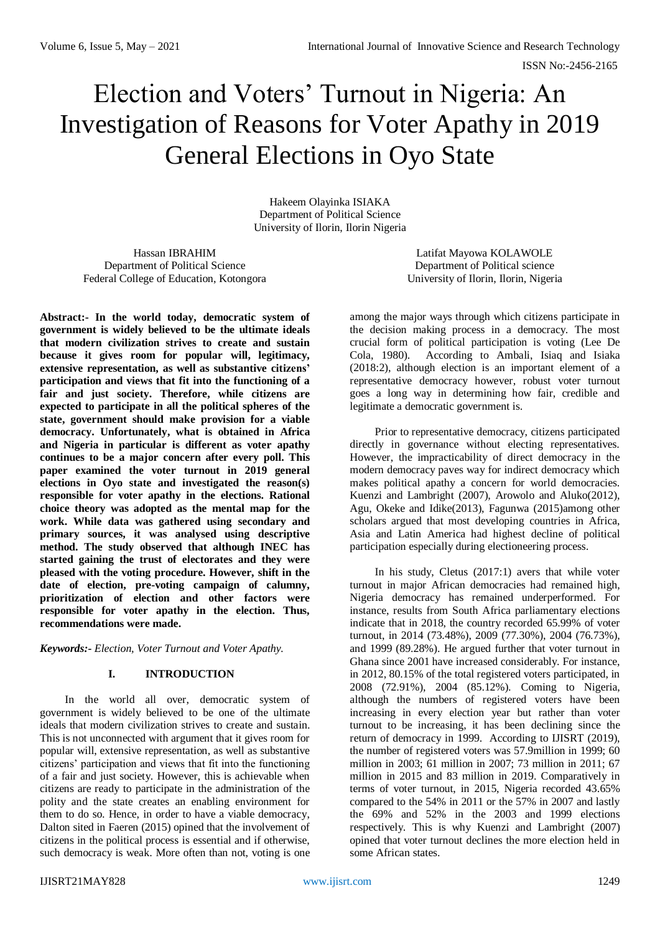# Election and Voters' Turnout in Nigeria: An Investigation of Reasons for Voter Apathy in 2019 General Elections in Oyo State

Hakeem Olayinka ISIAKA Department of Political Science University of Ilorin, Ilorin Nigeria

Hassan IBRAHIM Department of Political Science Federal College of Education, Kotongora

**Abstract:- In the world today, democratic system of government is widely believed to be the ultimate ideals that modern civilization strives to create and sustain because it gives room for popular will, legitimacy, extensive representation, as well as substantive citizens' participation and views that fit into the functioning of a fair and just society. Therefore, while citizens are expected to participate in all the political spheres of the state, government should make provision for a viable democracy. Unfortunately, what is obtained in Africa and Nigeria in particular is different as voter apathy continues to be a major concern after every poll. This paper examined the voter turnout in 2019 general elections in Oyo state and investigated the reason(s) responsible for voter apathy in the elections. Rational choice theory was adopted as the mental map for the work. While data was gathered using secondary and primary sources, it was analysed using descriptive method. The study observed that although INEC has started gaining the trust of electorates and they were pleased with the voting procedure. However, shift in the date of election, pre-voting campaign of calumny, prioritization of election and other factors were responsible for voter apathy in the election. Thus, recommendations were made.** 

*Keywords:- Election, Voter Turnout and Voter Apathy.*

# **I. INTRODUCTION**

In the world all over, democratic system of government is widely believed to be one of the ultimate ideals that modern civilization strives to create and sustain. This is not unconnected with argument that it gives room for popular will, extensive representation, as well as substantive citizens' participation and views that fit into the functioning of a fair and just society. However, this is achievable when citizens are ready to participate in the administration of the polity and the state creates an enabling environment for them to do so. Hence, in order to have a viable democracy, Dalton sited in Faeren (2015) opined that the involvement of citizens in the political process is essential and if otherwise, such democracy is weak. More often than not, voting is one

Latifat Mayowa KOLAWOLE Department of Political science University of Ilorin, Ilorin, Nigeria

among the major ways through which citizens participate in the decision making process in a democracy. The most crucial form of political participation is voting (Lee De Cola, 1980). According to Ambali, Isiaq and Isiaka (2018:2), although election is an important element of a representative democracy however, robust voter turnout goes a long way in determining how fair, credible and legitimate a democratic government is.

Prior to representative democracy, citizens participated directly in governance without electing representatives. However, the impracticability of direct democracy in the modern democracy paves way for indirect democracy which makes political apathy a concern for world democracies. Kuenzi and Lambright (2007), Arowolo and Aluko(2012), Agu, Okeke and Idike(2013), Fagunwa (2015)among other scholars argued that most developing countries in Africa, Asia and Latin America had highest decline of political participation especially during electioneering process.

In his study, Cletus (2017:1) avers that while voter turnout in major African democracies had remained high, Nigeria democracy has remained underperformed. For instance, results from South Africa parliamentary elections indicate that in 2018, the country recorded 65.99% of voter turnout, in 2014 (73.48%), 2009 (77.30%), 2004 (76.73%), and 1999 (89.28%). He argued further that voter turnout in Ghana since 2001 have increased considerably. For instance, in 2012, 80.15% of the total registered voters participated, in 2008 (72.91%), 2004 (85.12%). Coming to Nigeria, although the numbers of registered voters have been increasing in every election year but rather than voter turnout to be increasing, it has been declining since the return of democracy in 1999. According to IJISRT (2019), the number of registered voters was 57.9million in 1999; 60 million in 2003; 61 million in 2007; 73 million in 2011; 67 million in 2015 and 83 million in 2019. Comparatively in terms of voter turnout, in 2015, Nigeria recorded 43.65% compared to the 54% in 2011 or the 57% in 2007 and lastly the 69% and 52% in the 2003 and 1999 elections respectively. This is why Kuenzi and Lambright (2007) opined that voter turnout declines the more election held in some African states.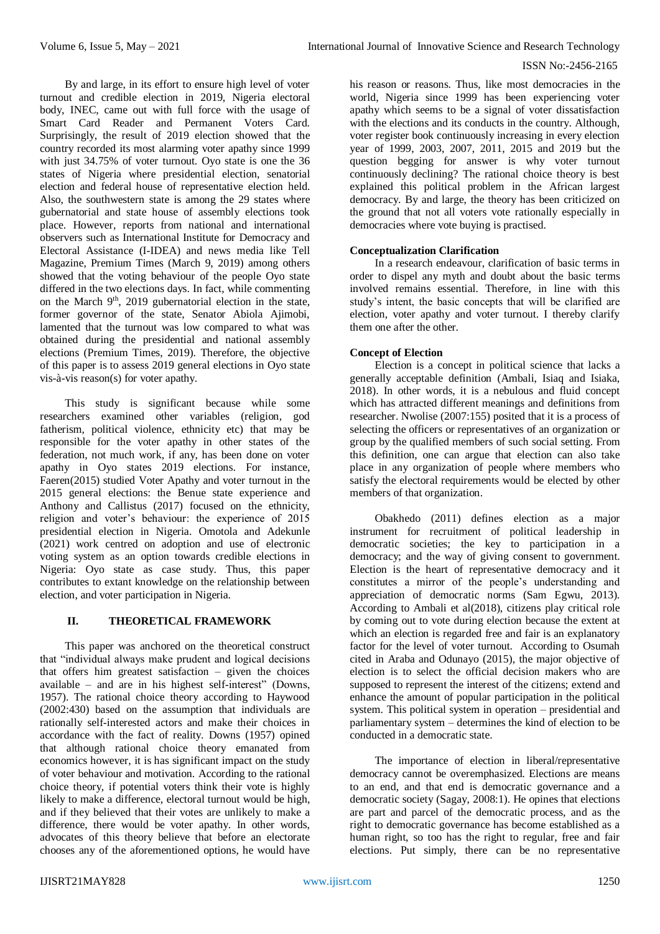By and large, in its effort to ensure high level of voter turnout and credible election in 2019, Nigeria electoral body, INEC, came out with full force with the usage of Smart Card Reader and Permanent Voters Card. Surprisingly, the result of 2019 election showed that the country recorded its most alarming voter apathy since 1999 with just 34.75% of voter turnout. Oyo state is one the 36 states of Nigeria where presidential election, senatorial election and federal house of representative election held. Also, the southwestern state is among the 29 states where gubernatorial and state house of assembly elections took place. However, reports from national and international observers such as International Institute for Democracy and Electoral Assistance (I-IDEA) and news media like Tell Magazine, Premium Times (March 9, 2019) among others showed that the voting behaviour of the people Oyo state differed in the two elections days. In fact, while commenting on the March  $9<sup>th</sup>$ , 2019 gubernatorial election in the state, former governor of the state, Senator Abiola Ajimobi, lamented that the turnout was low compared to what was obtained during the presidential and national assembly elections (Premium Times, 2019). Therefore, the objective of this paper is to assess 2019 general elections in Oyo state vis-à-vis reason(s) for voter apathy.

This study is significant because while some researchers examined other variables (religion, god fatherism, political violence, ethnicity etc) that may be responsible for the voter apathy in other states of the federation, not much work, if any, has been done on voter apathy in Oyo states 2019 elections. For instance, Faeren(2015) studied Voter Apathy and voter turnout in the 2015 general elections: the Benue state experience and Anthony and Callistus (2017) focused on the ethnicity, religion and voter's behaviour: the experience of 2015 presidential election in Nigeria. Omotola and Adekunle (2021) work centred on adoption and use of electronic voting system as an option towards credible elections in Nigeria: Oyo state as case study. Thus, this paper contributes to extant knowledge on the relationship between election, and voter participation in Nigeria.

# **II. THEORETICAL FRAMEWORK**

This paper was anchored on the theoretical construct that "individual always make prudent and logical decisions that offers him greatest satisfaction  $-$  given the choices available – and are in his highest self-interest" (Downs, 1957). The rational choice theory according to Haywood (2002:430) based on the assumption that individuals are rationally self-interested actors and make their choices in accordance with the fact of reality. Downs (1957) opined that although rational choice theory emanated from economics however, it is has significant impact on the study of voter behaviour and motivation. According to the rational choice theory, if potential voters think their vote is highly likely to make a difference, electoral turnout would be high, and if they believed that their votes are unlikely to make a difference, there would be voter apathy. In other words, advocates of this theory believe that before an electorate chooses any of the aforementioned options, he would have

his reason or reasons. Thus, like most democracies in the world, Nigeria since 1999 has been experiencing voter apathy which seems to be a signal of voter dissatisfaction with the elections and its conducts in the country. Although, voter register book continuously increasing in every election year of 1999, 2003, 2007, 2011, 2015 and 2019 but the question begging for answer is why voter turnout continuously declining? The rational choice theory is best explained this political problem in the African largest democracy. By and large, the theory has been criticized on the ground that not all voters vote rationally especially in democracies where vote buying is practised.

## **Conceptualization Clarification**

In a research endeavour, clarification of basic terms in order to dispel any myth and doubt about the basic terms involved remains essential. Therefore, in line with this study's intent, the basic concepts that will be clarified are election, voter apathy and voter turnout. I thereby clarify them one after the other.

## **Concept of Election**

Election is a concept in political science that lacks a generally acceptable definition (Ambali, Isiaq and Isiaka, 2018). In other words, it is a nebulous and fluid concept which has attracted different meanings and definitions from researcher. Nwolise (2007:155) posited that it is a process of selecting the officers or representatives of an organization or group by the qualified members of such social setting. From this definition, one can argue that election can also take place in any organization of people where members who satisfy the electoral requirements would be elected by other members of that organization.

Obakhedo (2011) defines election as a major instrument for recruitment of political leadership in democratic societies; the key to participation in a democracy; and the way of giving consent to government. Election is the heart of representative democracy and it constitutes a mirror of the people's understanding and appreciation of democratic norms (Sam Egwu, 2013). According to Ambali et al(2018), citizens play critical role by coming out to vote during election because the extent at which an election is regarded free and fair is an explanatory factor for the level of voter turnout. According to Osumah cited in Araba and Odunayo (2015), the major objective of election is to select the official decision makers who are supposed to represent the interest of the citizens; extend and enhance the amount of popular participation in the political system. This political system in operation – presidential and parliamentary system – determines the kind of election to be conducted in a democratic state.

The importance of election in liberal/representative democracy cannot be overemphasized. Elections are means to an end, and that end is democratic governance and a democratic society (Sagay, 2008:1). He opines that elections are part and parcel of the democratic process, and as the right to democratic governance has become established as a human right, so too has the right to regular, free and fair elections. Put simply, there can be no representative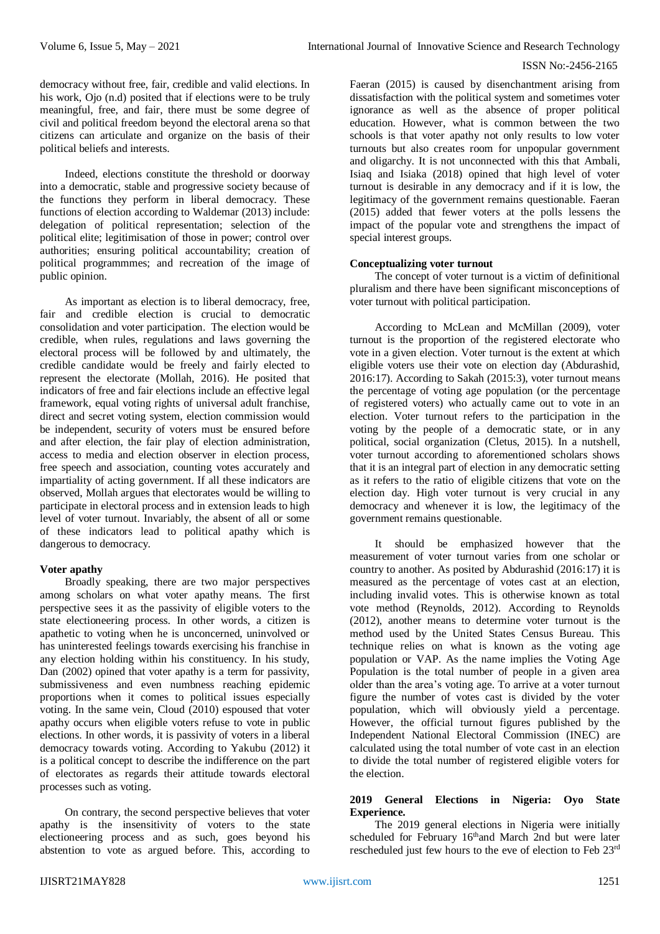democracy without free, fair, credible and valid elections. In his work, Ojo (n.d) posited that if elections were to be truly meaningful, free, and fair, there must be some degree of civil and political freedom beyond the electoral arena so that citizens can articulate and organize on the basis of their political beliefs and interests.

Indeed, elections constitute the threshold or doorway into a democratic, stable and progressive society because of the functions they perform in liberal democracy. These functions of election according to Waldemar (2013) include: delegation of political representation; selection of the political elite; legitimisation of those in power; control over authorities; ensuring political accountability; creation of political programmmes; and recreation of the image of public opinion.

As important as election is to liberal democracy, free, fair and credible election is crucial to democratic consolidation and voter participation. The election would be credible, when rules, regulations and laws governing the electoral process will be followed by and ultimately, the credible candidate would be freely and fairly elected to represent the electorate (Mollah, 2016). He posited that indicators of free and fair elections include an effective legal framework, equal voting rights of universal adult franchise, direct and secret voting system, election commission would be independent, security of voters must be ensured before and after election, the fair play of election administration, access to media and election observer in election process, free speech and association, counting votes accurately and impartiality of acting government. If all these indicators are observed, Mollah argues that electorates would be willing to participate in electoral process and in extension leads to high level of voter turnout. Invariably, the absent of all or some of these indicators lead to political apathy which is dangerous to democracy.

#### **Voter apathy**

Broadly speaking, there are two major perspectives among scholars on what voter apathy means. The first perspective sees it as the passivity of eligible voters to the state electioneering process. In other words, a citizen is apathetic to voting when he is unconcerned, uninvolved or has uninterested feelings towards exercising his franchise in any election holding within his constituency. In his study, Dan (2002) opined that voter apathy is a term for passivity, submissiveness and even numbness reaching epidemic proportions when it comes to political issues especially voting. In the same vein, Cloud (2010) espoused that voter apathy occurs when eligible voters refuse to vote in public elections. In other words, it is passivity of voters in a liberal democracy towards voting. According to Yakubu (2012) it is a political concept to describe the indifference on the part of electorates as regards their attitude towards electoral processes such as voting.

On contrary, the second perspective believes that voter apathy is the insensitivity of voters to the state electioneering process and as such, goes beyond his abstention to vote as argued before. This, according to

Faeran (2015) is caused by disenchantment arising from dissatisfaction with the political system and sometimes voter ignorance as well as the absence of proper political education. However, what is common between the two schools is that voter apathy not only results to low voter turnouts but also creates room for unpopular government and oligarchy. It is not unconnected with this that Ambali, Isiaq and Isiaka (2018) opined that high level of voter turnout is desirable in any democracy and if it is low, the legitimacy of the government remains questionable. Faeran (2015) added that fewer voters at the polls lessens the impact of the popular vote and strengthens the impact of special interest groups.

## **Conceptualizing voter turnout**

The concept of voter turnout is a victim of definitional pluralism and there have been significant misconceptions of voter turnout with political participation.

According to McLean and McMillan (2009), voter turnout is the proportion of the registered electorate who vote in a given election. Voter turnout is the extent at which eligible voters use their vote on election day (Abdurashid, 2016:17). According to Sakah (2015:3), voter turnout means the percentage of voting age population (or the percentage of registered voters) who actually came out to vote in an election. Voter turnout refers to the participation in the voting by the people of a democratic state, or in any political, social organization (Cletus, 2015). In a nutshell, voter turnout according to aforementioned scholars shows that it is an integral part of election in any democratic setting as it refers to the ratio of eligible citizens that vote on the election day. High voter turnout is very crucial in any democracy and whenever it is low, the legitimacy of the government remains questionable.

It should be emphasized however that the measurement of voter turnout varies from one scholar or country to another. As posited by Abdurashid (2016:17) it is measured as the percentage of votes cast at an election, including invalid votes. This is otherwise known as total vote method (Reynolds, 2012). According to Reynolds (2012), another means to determine voter turnout is the method used by the United States Census Bureau. This technique relies on what is known as the voting age population or VAP. As the name implies the Voting Age Population is the total number of people in a given area older than the area's voting age. To arrive at a voter turnout figure the number of votes cast is divided by the voter population, which will obviously yield a percentage. However, the official turnout figures published by the Independent National Electoral Commission (INEC) are calculated using the total number of vote cast in an election to divide the total number of registered eligible voters for the election.

#### **2019 General Elections in Nigeria: Oyo State Experience.**

The 2019 general elections in Nigeria were initially scheduled for February 16<sup>th</sup>and March 2nd but were later rescheduled just few hours to the eve of election to Feb 23rd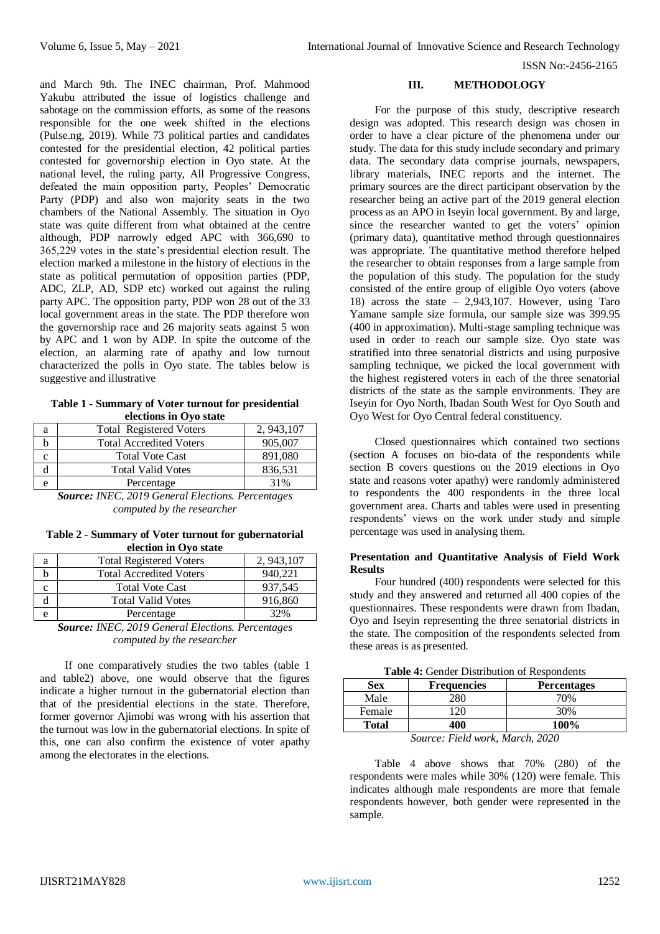and March 9th. The INEC chairman, Prof. Mahmood Yakubu attributed the issue of logistics challenge and sabotage on the commission efforts, as some of the reasons responsible for the one week shifted in the elections (Pulse.ng, 2019). While 73 political parties and candidates contested for the presidential election, 42 political parties contested for governorship election in Oyo state. At the national level, the ruling party, All Progressive Congress, defeated the main opposition party, Peoples' Democratic Party (PDP) and also won majority seats in the two chambers of the National Assembly. The situation in Oyo state was quite different from what obtained at the centre although, PDP narrowly edged APC with 366,690 to 365,229 votes in the state's presidential election result. The election marked a milestone in the history of elections in the state as political permutation of opposition parties (PDP, ADC, ZLP, AD, SDP etc) worked out against the ruling party APC. The opposition party, PDP won 28 out of the 33 local government areas in the state. The PDP therefore won the governorship race and 26 majority seats against 5 won by APC and 1 won by ADP. In spite the outcome of the election, an alarming rate of apathy and low turnout characterized the polls in Oyo state. The tables below is suggestive and illustrative

**Table 1 - Summary of Voter turnout for presidential elections in Oyo state**

| a | <b>Total Registered Voters</b> | 2, 943, 107 |
|---|--------------------------------|-------------|
|   | <b>Total Accredited Voters</b> | 905,007     |
|   | <b>Total Vote Cast</b>         | 891,080     |
|   | <b>Total Valid Votes</b>       | 836,531     |
|   | Percentage                     | 31%         |

*Source: INEC, 2019 General Elections. Percentages computed by the researcher*

**Table 2 - Summary of Voter turnout for gubernatorial election in Oyo state**

| a | <b>Total Registered Voters</b>                 | 2, 943, 107 |
|---|------------------------------------------------|-------------|
|   | <b>Total Accredited Voters</b>                 | 940.221     |
|   | <b>Total Vote Cast</b>                         | 937.545     |
|   | <b>Total Valid Votes</b>                       | 916,860     |
| e | Percentage                                     | 32%         |
|   | $\tilde{\phantom{a}}$<br>---<br>-----<br>----- |             |

*Source: INEC, 2019 General Elections. Percentages computed by the researcher*

If one comparatively studies the two tables (table 1 and table2) above, one would observe that the figures indicate a higher turnout in the gubernatorial election than that of the presidential elections in the state. Therefore, former governor Ajimobi was wrong with his assertion that the turnout was low in the gubernatorial elections. In spite of this, one can also confirm the existence of voter apathy among the electorates in the elections.

### **III. METHODOLOGY**

For the purpose of this study, descriptive research design was adopted. This research design was chosen in order to have a clear picture of the phenomena under our study. The data for this study include secondary and primary data. The secondary data comprise journals, newspapers, library materials, INEC reports and the internet. The primary sources are the direct participant observation by the researcher being an active part of the 2019 general election process as an APO in Iseyin local government. By and large, since the researcher wanted to get the voters' opinion (primary data), quantitative method through questionnaires was appropriate. The quantitative method therefore helped the researcher to obtain responses from a large sample from the population of this study. The population for the study consisted of the entire group of eligible Oyo voters (above 18) across the state –  $2,943,107$ . However, using Taro Yamane sample size formula, our sample size was 399.95 (400 in approximation). Multi-stage sampling technique was used in order to reach our sample size. Oyo state was stratified into three senatorial districts and using purposive sampling technique, we picked the local government with the highest registered voters in each of the three senatorial districts of the state as the sample environments. They are Iseyin for Oyo North, Ibadan South West for Oyo South and Oyo West for Oyo Central federal constituency.

Closed questionnaires which contained two sections (section A focuses on bio-data of the respondents while section B covers questions on the 2019 elections in Oyo state and reasons voter apathy) were randomly administered to respondents the 400 respondents in the three local government area. Charts and tables were used in presenting respondents' views on the work under study and simple percentage was used in analysing them.

#### **Presentation and Quantitative Analysis of Field Work Results**

Four hundred (400) respondents were selected for this study and they answered and returned all 400 copies of the questionnaires. These respondents were drawn from Ibadan, Oyo and Iseyin representing the three senatorial districts in the state. The composition of the respondents selected from these areas is as presented.

|  |  | Table 4: Gender Distribution of Respondents |  |  |
|--|--|---------------------------------------------|--|--|
|--|--|---------------------------------------------|--|--|

| <b>Sex</b>                    | <b>Frequencies</b> | <b>Percentages</b> |  |  |  |
|-------------------------------|--------------------|--------------------|--|--|--|
| Male                          | 280                | 70%                |  |  |  |
| Female                        | 20                 | 30%                |  |  |  |
| <b>Total</b>                  | 400                | 100%               |  |  |  |
| Source: Field work March 2020 |                    |                    |  |  |  |

*Source: Field work, March, 2020*

Table 4 above shows that 70% (280) of the respondents were males while 30% (120) were female. This indicates although male respondents are more that female respondents however, both gender were represented in the sample.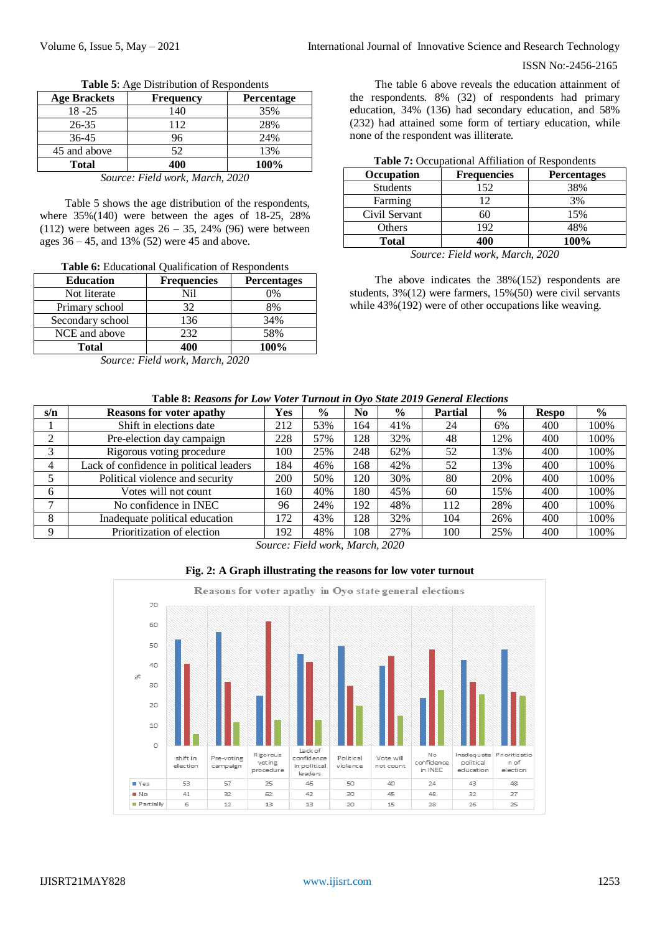| <b>Age Brackets</b> | <b>Frequency</b> | <b>Percentage</b> |
|---------------------|------------------|-------------------|
| $18 - 25$           | 140              | 35%               |
| $26 - 35$           | 112              | 28%               |
| $36-45$             | 96               | 24%               |
| 45 and above        | 52               | 13%               |
| <b>Total</b>        | 400              | 100%              |

**Table 5**: Age Distribution of Respondents

*Source: Field work, March, 2020*

Table 5 shows the age distribution of the respondents, where 35%(140) were between the ages of 18-25, 28% (112) were between ages  $26 - 35$ , 24% (96) were between ages 36 – 45, and 13% (52) were 45 and above.

**Table 6:** Educational Qualification of Respondents

| <b>Education</b> | <b>Frequencies</b> | <b>Percentages</b> |
|------------------|--------------------|--------------------|
| Not literate     | Nil                | $0\%$              |
| Primary school   | 32                 | 8%                 |
| Secondary school | 136                | 34%                |
| NCE and above    | 232                | 58%                |
| Total            | 400                | 100%               |

*Source: Field work, March, 2020*

The table 6 above reveals the education attainment of the respondents. 8% (32) of respondents had primary education, 34% (136) had secondary education, and 58% (232) had attained some form of tertiary education, while none of the respondent was illiterate.

| Table 7: Occupational Affiliation of Respondents |  |
|--------------------------------------------------|--|
|--------------------------------------------------|--|

| Occupation      | <b>Frequencies</b> | <b>Percentages</b> |
|-----------------|--------------------|--------------------|
| <b>Students</b> | 152                | 38%                |
| Farming         |                    | 3%                 |
| Civil Servant   |                    | 15%                |
| Others          | 192                | 48%                |
| <b>Total</b>    | 400                | 100%               |

*Source: Field work, March, 2020*

The above indicates the 38%(152) respondents are students, 3%(12) were farmers, 15%(50) were civil servants while  $43\%(192)$  were of other occupations like weaving.

#### **Table 8:** *Reasons for Low Voter Turnout in Oyo State 2019 General Elections*

| s/n                                          | <b>Reasons for voter apathy</b>         | Yes | $\frac{6}{9}$ | N <sub>0</sub> | $\frac{6}{9}$ | <b>Partial</b> | $\frac{6}{9}$ | <b>Respo</b> | $\frac{0}{0}$ |
|----------------------------------------------|-----------------------------------------|-----|---------------|----------------|---------------|----------------|---------------|--------------|---------------|
|                                              | Shift in elections date                 | 212 | 53%           | 164            | 41%           | 24             | 6%            | 400          | 100%          |
| ◠                                            | Pre-election day campaign               | 228 | 57%           | 128            | 32%           | 48             | 12%           | 400          | 100%          |
| 3                                            | Rigorous voting procedure               | 100 | 25%           | 248            | 62%           | 52             | 13%           | 400          | 100%          |
|                                              | Lack of confidence in political leaders | 184 | 46%           | 168            | 42%           | 52             | 13%           | 400          | 100%          |
|                                              | Political violence and security         | 200 | 50%           | 120            | 30%           | 80             | 20%           | 400          | 100%          |
| 6                                            | Votes will not count                    | 160 | 40%           | 180            | 45%           | 60             | 15%           | 400          | 100%          |
| $\mathbf{r}$                                 | No confidence in INEC                   | 96  | 24%           | 192            | 48%           | 112            | 28%           | 400          | 100%          |
| 8                                            | Inadequate political education          | 172 | 43%           | 128            | 32%           | 104            | 26%           | 400          | 100%          |
| Q                                            | Prioritization of election              | 192 | 48%           | 108            | 27%           | 100            | 25%           | 400          | 100%          |
| 0.000<br>$\sim$<br>$T''$ $T$ $T$ $T$ $T$ $T$ |                                         |     |               |                |               |                |               |              |               |

*Source: Field work, March, 2020*



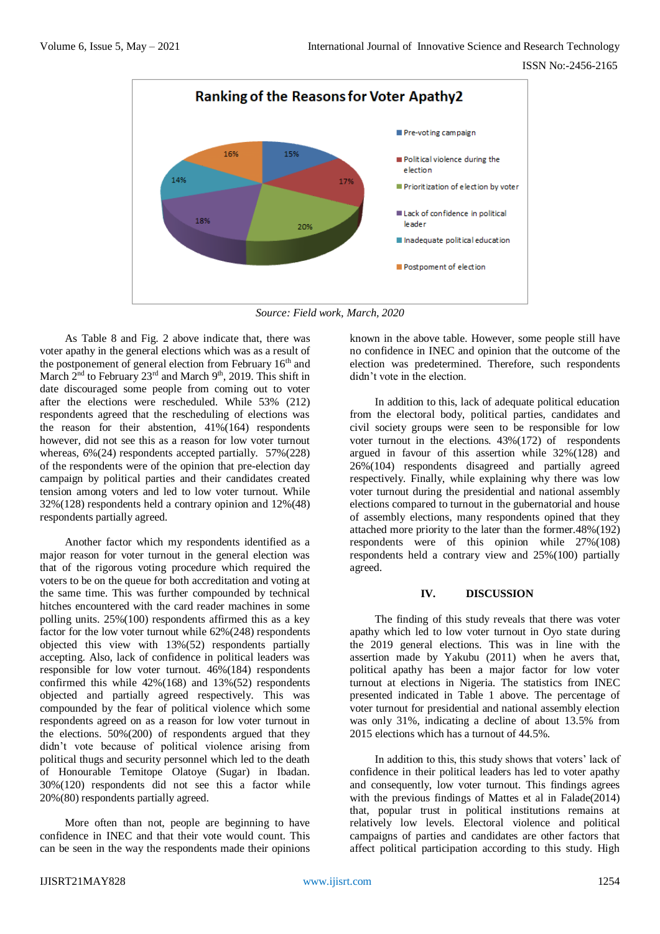

*Source: Field work, March, 2020*

As Table 8 and Fig. 2 above indicate that, there was voter apathy in the general elections which was as a result of the postponement of general election from February  $16<sup>th</sup>$  and March  $2<sup>nd</sup>$  to February 23<sup>rd</sup> and March 9<sup>th</sup>, 2019. This shift in date discouraged some people from coming out to voter after the elections were rescheduled. While 53% (212) respondents agreed that the rescheduling of elections was the reason for their abstention,  $41\%$  (164) respondents however, did not see this as a reason for low voter turnout whereas,  $6\%(24)$  respondents accepted partially. 57%(228) of the respondents were of the opinion that pre-election day campaign by political parties and their candidates created tension among voters and led to low voter turnout. While 32%(128) respondents held a contrary opinion and 12%(48) respondents partially agreed.

Another factor which my respondents identified as a major reason for voter turnout in the general election was that of the rigorous voting procedure which required the voters to be on the queue for both accreditation and voting at the same time. This was further compounded by technical hitches encountered with the card reader machines in some polling units. 25%(100) respondents affirmed this as a key factor for the low voter turnout while 62%(248) respondents objected this view with 13%(52) respondents partially accepting. Also, lack of confidence in political leaders was responsible for low voter turnout. 46%(184) respondents confirmed this while 42%(168) and 13%(52) respondents objected and partially agreed respectively. This was compounded by the fear of political violence which some respondents agreed on as a reason for low voter turnout in the elections. 50%(200) of respondents argued that they didn't vote because of political violence arising from political thugs and security personnel which led to the death of Honourable Temitope Olatoye (Sugar) in Ibadan. 30%(120) respondents did not see this a factor while 20%(80) respondents partially agreed.

More often than not, people are beginning to have confidence in INEC and that their vote would count. This can be seen in the way the respondents made their opinions known in the above table. However, some people still have no confidence in INEC and opinion that the outcome of the election was predetermined. Therefore, such respondents didn't vote in the election.

In addition to this, lack of adequate political education from the electoral body, political parties, candidates and civil society groups were seen to be responsible for low voter turnout in the elections. 43%(172) of respondents argued in favour of this assertion while 32%(128) and 26%(104) respondents disagreed and partially agreed respectively. Finally, while explaining why there was low voter turnout during the presidential and national assembly elections compared to turnout in the gubernatorial and house of assembly elections, many respondents opined that they attached more priority to the later than the former.48%(192) respondents were of this opinion while 27%(108) respondents held a contrary view and 25%(100) partially agreed.

### **IV. DISCUSSION**

The finding of this study reveals that there was voter apathy which led to low voter turnout in Oyo state during the 2019 general elections. This was in line with the assertion made by Yakubu (2011) when he avers that, political apathy has been a major factor for low voter turnout at elections in Nigeria. The statistics from INEC presented indicated in Table 1 above. The percentage of voter turnout for presidential and national assembly election was only 31%, indicating a decline of about 13.5% from 2015 elections which has a turnout of 44.5%.

In addition to this, this study shows that voters' lack of confidence in their political leaders has led to voter apathy and consequently, low voter turnout. This findings agrees with the previous findings of Mattes et al in Falade(2014) that, popular trust in political institutions remains at relatively low levels. Electoral violence and political campaigns of parties and candidates are other factors that affect political participation according to this study. High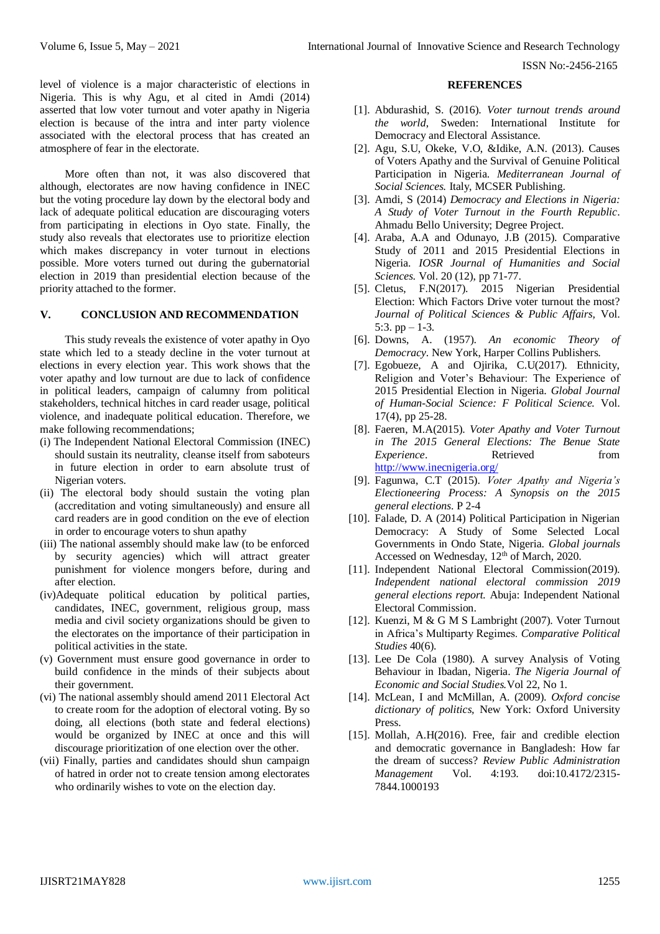level of violence is a major characteristic of elections in Nigeria. This is why Agu, et al cited in Amdi (2014) asserted that low voter turnout and voter apathy in Nigeria election is because of the intra and inter party violence associated with the electoral process that has created an atmosphere of fear in the electorate.

More often than not, it was also discovered that although, electorates are now having confidence in INEC but the voting procedure lay down by the electoral body and lack of adequate political education are discouraging voters from participating in elections in Oyo state. Finally, the study also reveals that electorates use to prioritize election which makes discrepancy in voter turnout in elections possible. More voters turned out during the gubernatorial election in 2019 than presidential election because of the priority attached to the former.

#### **V. CONCLUSION AND RECOMMENDATION**

This study reveals the existence of voter apathy in Oyo state which led to a steady decline in the voter turnout at elections in every election year. This work shows that the voter apathy and low turnout are due to lack of confidence in political leaders, campaign of calumny from political stakeholders, technical hitches in card reader usage, political violence, and inadequate political education. Therefore, we make following recommendations;

- (i) The Independent National Electoral Commission (INEC) should sustain its neutrality, cleanse itself from saboteurs in future election in order to earn absolute trust of Nigerian voters.
- (ii) The electoral body should sustain the voting plan (accreditation and voting simultaneously) and ensure all card readers are in good condition on the eve of election in order to encourage voters to shun apathy
- (iii) The national assembly should make law (to be enforced by security agencies) which will attract greater punishment for violence mongers before, during and after election.
- (iv)Adequate political education by political parties, candidates, INEC, government, religious group, mass media and civil society organizations should be given to the electorates on the importance of their participation in political activities in the state.
- (v) Government must ensure good governance in order to build confidence in the minds of their subjects about their government.
- (vi) The national assembly should amend 2011 Electoral Act to create room for the adoption of electoral voting. By so doing, all elections (both state and federal elections) would be organized by INEC at once and this will discourage prioritization of one election over the other.
- (vii) Finally, parties and candidates should shun campaign of hatred in order not to create tension among electorates who ordinarily wishes to vote on the election day.

#### **REFERENCES**

- [1]. Abdurashid, S. (2016). *Voter turnout trends around the world*, Sweden: International Institute for Democracy and Electoral Assistance.
- [2]. Agu, S.U, Okeke, V.O, &Idike, A.N. (2013). Causes of Voters Apathy and the Survival of Genuine Political Participation in Nigeria. *Mediterranean Journal of Social Sciences.* Italy, MCSER Publishing.
- [3]. Amdi, S (2014) *Democracy and Elections in Nigeria: A Study of Voter Turnout in the Fourth Republic*. Ahmadu Bello University; Degree Project.
- [4]. Araba, A.A and Odunayo, J.B (2015). Comparative Study of 2011 and 2015 Presidential Elections in Nigeria. *IOSR Journal of Humanities and Social Sciences.* Vol. 20 (12), pp 71-77.
- [5]. Cletus, F.N(2017). 2015 Nigerian Presidential Election: Which Factors Drive voter turnout the most? *Journal of Political Sciences & Public Affairs,* Vol. 5:3.  $pp - 1-3$ .
- [6]. Downs, A. (1957). *An economic Theory of Democracy*. New York, Harper Collins Publishers.
- [7]. Egobueze, A and Ojirika, C.U(2017). Ethnicity, Religion and Voter's Behaviour: The Experience of 2015 Presidential Election in Nigeria. *Global Journal of Human-Social Science: F Political Science.* Vol. 17(4), pp 25-28.
- [8]. Faeren, M.A(2015). *Voter Apathy and Voter Turnout in The 2015 General Elections: The Benue State Experience*. Retrieved from <http://www.inecnigeria.org/>
- [9]. Fagunwa, C.T (2015). *Voter Apathy and Nigeria's Electioneering Process: A Synopsis on the 2015 general elections*. P 2-4
- [10]. Falade, D. A (2014) Political Participation in Nigerian Democracy: A Study of Some Selected Local Governments in Ondo State, Nigeria. *Global journals* Accessed on Wednesday,  $12<sup>th</sup>$  of March, 2020.
- [11]. Independent National Electoral Commission(2019). *Independent national electoral commission 2019 general elections report.* Abuja: Independent National Electoral Commission.
- [12]. Kuenzi, M & G M S Lambright (2007). Voter Turnout in Africa's Multiparty Regimes. *Comparative Political Studies* 40(6).
- [13]. Lee De Cola (1980). A survey Analysis of Voting Behaviour in Ibadan, Nigeria. *The Nigeria Journal of Economic and Social Studies.*Vol 22, No 1.
- [14]. McLean, I and McMillan, A. (2009). *Oxford concise dictionary of politics,* New York: Oxford University Press.
- [15]. Mollah, A.H(2016). Free, fair and credible election and democratic governance in Bangladesh: How far the dream of success? *Review Public Administration Management* Vol. 4:193. doi:10.4172/2315- 7844.1000193